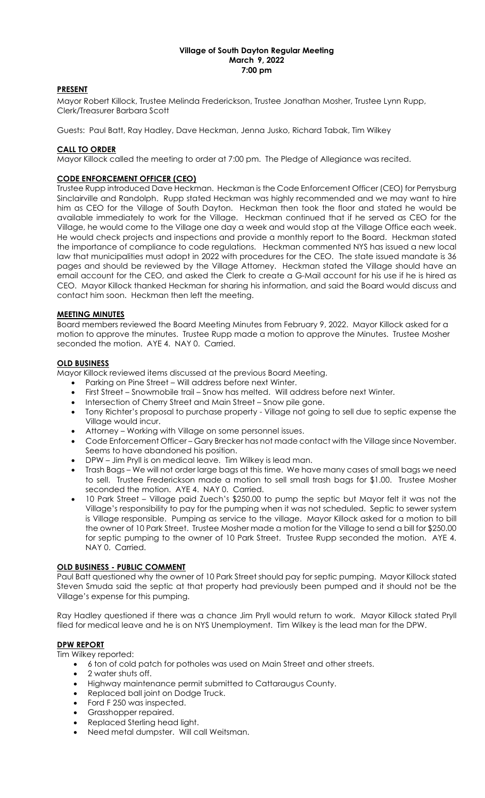#### Village of South Dayton Regular Meeting March 9, 2022 7:00 pm

# PRESENT

Mayor Robert Killock, Trustee Melinda Frederickson, Trustee Jonathan Mosher, Trustee Lynn Rupp, Clerk/Treasurer Barbara Scott

Guests: Paul Batt, Ray Hadley, Dave Heckman, Jenna Jusko, Richard Tabak, Tim Wilkey

## CALL TO ORDER

Mayor Killock called the meeting to order at 7:00 pm. The Pledge of Allegiance was recited.

# CODE ENFORCEMENT OFFICER (CEO)

Trustee Rupp introduced Dave Heckman. Heckman is the Code Enforcement Officer (CEO) for Perrysburg Sinclairville and Randolph. Rupp stated Heckman was highly recommended and we may want to hire him as CEO for the Village of South Dayton. Heckman then took the floor and stated he would be available immediately to work for the Village. Heckman continued that if he served as CEO for the Village, he would come to the Village one day a week and would stop at the Village Office each week. He would check projects and inspections and provide a monthly report to the Board. Heckman stated the importance of compliance to code regulations. Heckman commented NYS has issued a new local law that municipalities must adopt in 2022 with procedures for the CEO. The state issued mandate is 36 pages and should be reviewed by the Village Attorney. Heckman stated the Village should have an email account for the CEO, and asked the Clerk to create a G-Mail account for his use if he is hired as CEO. Mayor Killock thanked Heckman for sharing his information, and said the Board would discuss and contact him soon. Heckman then left the meeting.

# MEETING MINUTES

Board members reviewed the Board Meeting Minutes from February 9, 2022. Mayor Killock asked for a motion to approve the minutes. Trustee Rupp made a motion to approve the Minutes. Trustee Mosher seconded the motion. AYE 4. NAY 0. Carried.

## OLD BUSINESS

Mayor Killock reviewed items discussed at the previous Board Meeting.

- Parking on Pine Street Will address before next Winter.
- First Street Snowmobile trail Snow has melted. Will address before next Winter.
- Intersection of Cherry Street and Main Street Snow pile gone.
- Tony Richter's proposal to purchase property Village not going to sell due to septic expense the Village would incur.
- Attorney Working with Village on some personnel issues.
- Code Enforcement Officer Gary Brecker has not made contact with the Village since November. Seems to have abandoned his position.
- DPW Jim Pryll is on medical leave. Tim Wilkey is lead man.
- Trash Bags We will not order large bags at this time. We have many cases of small bags we need to sell. Trustee Frederickson made a motion to sell small trash bags for \$1.00. Trustee Mosher seconded the motion. AYE 4. NAY 0. Carried.
- 10 Park Street Village paid Zuech's \$250.00 to pump the septic but Mayor felt it was not the Village's responsibility to pay for the pumping when it was not scheduled. Septic to sewer system is Village responsible. Pumping as service to the village. Mayor Killock asked for a motion to bill the owner of 10 Park Street. Trustee Mosher made a motion for the Village to send a bill for \$250.00 for septic pumping to the owner of 10 Park Street. Trustee Rupp seconded the motion. AYE 4. NAY 0. Carried.

## OLD BUSINESS - PUBLIC COMMENT

Paul Batt questioned why the owner of 10 Park Street should pay for septic pumping. Mayor Killock stated Steven Smuda said the septic at that property had previously been pumped and it should not be the Village's expense for this pumping.

Ray Hadley questioned if there was a chance Jim Pryll would return to work. Mayor Killock stated Pryll filed for medical leave and he is on NYS Unemployment. Tim Wilkey is the lead man for the DPW.

## DPW REPORT

Tim Wilkey reported:

- 6 ton of cold patch for potholes was used on Main Street and other streets.
- 2 water shuts off.
- Highway maintenance permit submitted to Cattaraugus County.
- Replaced ball joint on Dodge Truck.
- Ford F 250 was inspected.
- Grasshopper repaired.
- Replaced Sterling head light.
- Need metal dumpster. Will call Weitsman.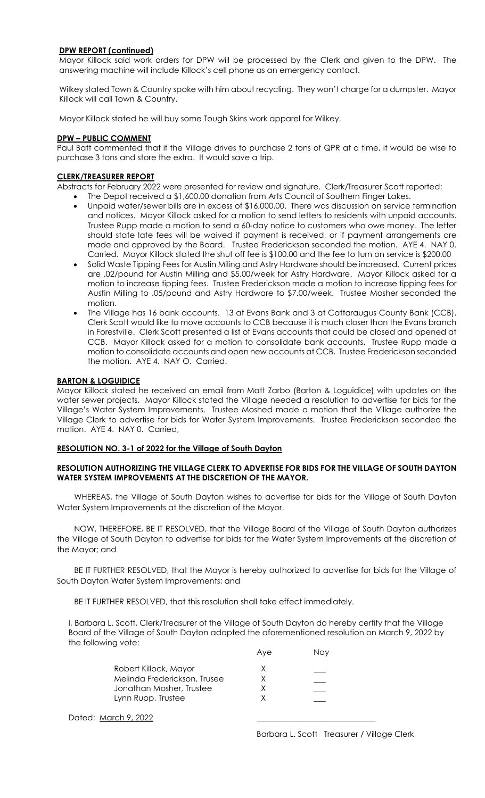## DPW REPORT (continued)

Mayor Killock said work orders for DPW will be processed by the Clerk and given to the DPW. The answering machine will include Killock's cell phone as an emergency contact.

Wilkey stated Town & Country spoke with him about recycling. They won't charge for a dumpster. Mayor Killock will call Town & Country.

Mayor Killock stated he will buy some Tough Skins work apparel for Wilkey.

### DPW – PUBLIC COMMENT

Paul Batt commented that if the Village drives to purchase 2 tons of QPR at a time, it would be wise to purchase 3 tons and store the extra. It would save a trip.

### CLERK/TREASURER REPORT

Abstracts for February 2022 were presented for review and signature. Clerk/Treasurer Scott reported:

- The Depot received a \$1,600.00 donation from Arts Council of Southern Finger Lakes.
- Unpaid water/sewer bills are in excess of \$16,000.00. There was discussion on service termination and notices. Mayor Killock asked for a motion to send letters to residents with unpaid accounts. Trustee Rupp made a motion to send a 60-day notice to customers who owe money. The letter should state late fees will be waived if payment is received, or if payment arrangements are made and approved by the Board. Trustee Frederickson seconded the motion. AYE 4. NAY 0. Carried. Mayor Killock stated the shut off fee is \$100.00 and the fee to turn on service is \$200.00
- Solid Waste Tipping Fees for Austin Miling and Astry Hardware should be increased. Current prices are .02/pound for Austin Milling and \$5.00/week for Astry Hardware. Mayor Killock asked for a motion to increase tipping fees. Trustee Frederickson made a motion to increase tipping fees for Austin Milling to .05/pound and Astry Hardware to \$7.00/week. Trustee Mosher seconded the motion.
- The Village has 16 bank accounts. 13 at Evans Bank and 3 at Cattaraugus County Bank (CCB). Clerk Scott would like to move accounts to CCB because it is much closer than the Evans branch in Forestville. Clerk Scott presented a list of Evans accounts that could be closed and opened at CCB. Mayor Killock asked for a motion to consolidate bank accounts. Trustee Rupp made a motion to consolidate accounts and open new accounts at CCB. Trustee Frederickson seconded the motion. AYE 4. NAY O. Carried.

### **BARTON & LOGUIDICE**

Mayor Killock stated he received an email from Matt Zarbo (Barton & Loguidice) with updates on the water sewer projects. Mayor Killock stated the Village needed a resolution to advertise for bids for the Village's Water System Improvements. Trustee Moshed made a motion that the Village authorize the Village Clerk to advertise for bids for Water System Improvements. Trustee Frederickson seconded the motion. AYE 4. NAY 0. Carried,

#### RESOLUTION NO. 3-1 of 2022 for the Village of South Dayton

## RESOLUTION AUTHORIZING THE VILLAGE CLERK TO ADVERTISE FOR BIDS FOR THE VILLAGE OF SOUTH DAYTON WATER SYSTEM IMPROVEMENTS AT THE DISCRETION OF THE MAYOR.

WHEREAS, the Village of South Dayton wishes to advertise for bids for the Village of South Dayton Water System Improvements at the discretion of the Mayor.

NOW, THEREFORE, BE IT RESOLVED, that the Village Board of the Village of South Dayton authorizes the Village of South Dayton to advertise for bids for the Water System Improvements at the discretion of the Mayor; and

BE IT FURTHER RESOLVED, that the Mayor is hereby authorized to advertise for bids for the Village of South Dayton Water System Improvements; and

BE IT FURTHER RESOLVED, that this resolution shall take effect immediately.

Aye Nay

I, Barbara L. Scott, Clerk/Treasurer of the Village of South Dayton do hereby certify that the Village Board of the Village of South Dayton adopted the aforementioned resolution on March 9, 2022 by the following vote:

| Robert Killock, Mayor        |   |  |
|------------------------------|---|--|
| Melinda Frederickson, Trusee | х |  |
| Jonathan Mosher, Trustee     |   |  |
| Lynn Rupp, Trustee           |   |  |

Dated: March 9, 2022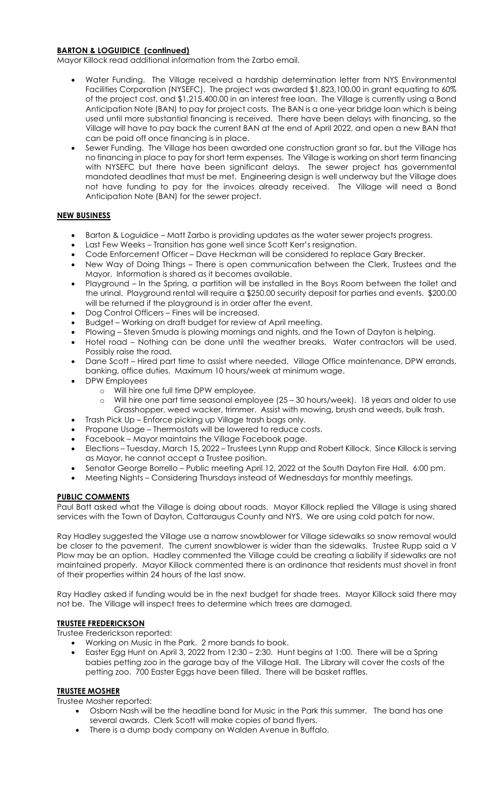## BARTON & LOGUIDICE (continued)

Mayor Killock read additional information from the Zarbo email.

- Water Funding. The Village received a hardship determination letter from NYS Environmental Facilities Corporation (NYSEFC). The project was awarded \$1,823,100.00 in grant equating to 60% of the project cost, and \$1,215,400.00 in an interest free loan. The Village is currently using a Bond Anticipation Note (BAN) to pay for project costs. The BAN is a one-year bridge loan which is being used until more substantial financing is received. There have been delays with financing, so the Village will have to pay back the current BAN at the end of April 2022, and open a new BAN that can be paid off once financing is in place.
- Sewer Funding. The Village has been awarded one construction grant so far, but the Village has no financing in place to pay for short term expenses. The Village is working on short term financing with NYSEFC but there have been significant delays. The sewer project has governmental mandated deadlines that must be met. Engineering design is well underway but the Village does not have funding to pay for the invoices already received. The Village will need a Bond Anticipation Note (BAN) for the sewer project.

# NEW BUSINESS

- Barton & Loguidice Matt Zarbo is providing updates as the water sewer projects progress.
- Last Few Weeks Transition has gone well since Scott Kerr's resignation.
- Code Enforcement Officer Dave Heckman will be considered to replace Gary Brecker.
- New Way of Doing Things There is open communication between the Clerk, Trustees and the Mayor. Information is shared as it becomes available.
- Playground In the Spring, a partition will be installed in the Boys Room between the toilet and the urinal. Playground rental will require a \$250.00 security deposit for parties and events. \$200.00 will be returned if the playground is in order after the event.
- Dog Control Officers Fines will be increased.
- Budget Working on draft budget for review at April meeting.
- Plowing Steven Smuda is plowing mornings and nights, and the Town of Dayton is helping.
- Hotel road Nothing can be done until the weather breaks. Water contractors will be used. Possibly raise the road.
- Dane Scott Hired part time to assist where needed. Village Office maintenance, DPW errands, banking, office duties. Maximum 10 hours/week at minimum wage.
- DPW Employees
	- o Will hire one full time DPW employee.
	- o Will hire one part time seasonal employee (25 30 hours/week). 18 years and older to use Grasshopper, weed wacker, trimmer. Assist with mowing, brush and weeds, bulk trash.
- Trash Pick Up Enforce picking up Village trash bags only.
- Propane Usage Thermostats will be lowered to reduce costs.
- Facebook Mayor maintains the Village Facebook page.
- Elections Tuesday, March 15, 2022 Trustees Lynn Rupp and Robert Killock. Since Killock is serving as Mayor, he cannot accept a Trustee position.
- Senator George Borrello Public meeting April 12, 2022 at the South Dayton Fire Hall. 6:00 pm.
- Meeting Nights Considering Thursdays instead of Wednesdays for monthly meetings.

## PUBLIC COMMENTS

Paul Batt asked what the Village is doing about roads. Mayor Killock replied the Village is using shared services with the Town of Dayton, Cattaraugus County and NYS. We are using cold patch for now.

Ray Hadley suggested the Village use a narrow snowblower for Village sidewalks so snow removal would be closer to the pavement. The current snowblower is wider than the sidewalks. Trustee Rupp said a V Plow may be an option. Hadley commented the Village could be creating a liability if sidewalks are not maintained properly. Mayor Killock commented there is an ordinance that residents must shovel in front of their properties within 24 hours of the last snow.

Ray Hadley asked if funding would be in the next budget for shade trees. Mayor Killock said there may not be. The Village will inspect trees to determine which trees are damaged.

# TRUSTEE FREDERICKSON

Trustee Frederickson reported:

- Working on Music in the Park. 2 more bands to book.
- Easter Egg Hunt on April 3, 2022 from 12:30 2:30. Hunt begins at 1:00. There will be a Spring babies petting zoo in the garage bay of the Village Hall. The Library will cover the costs of the petting zoo. 700 Easter Eggs have been filled. There will be basket raffles.

## TRUSTEE MOSHER

Trustee Mosher reported:

- Osborn Nash will be the headline band for Music in the Park this summer. The band has one several awards. Clerk Scott will make copies of band flyers.
- There is a dump body company on Walden Avenue in Buffalo.